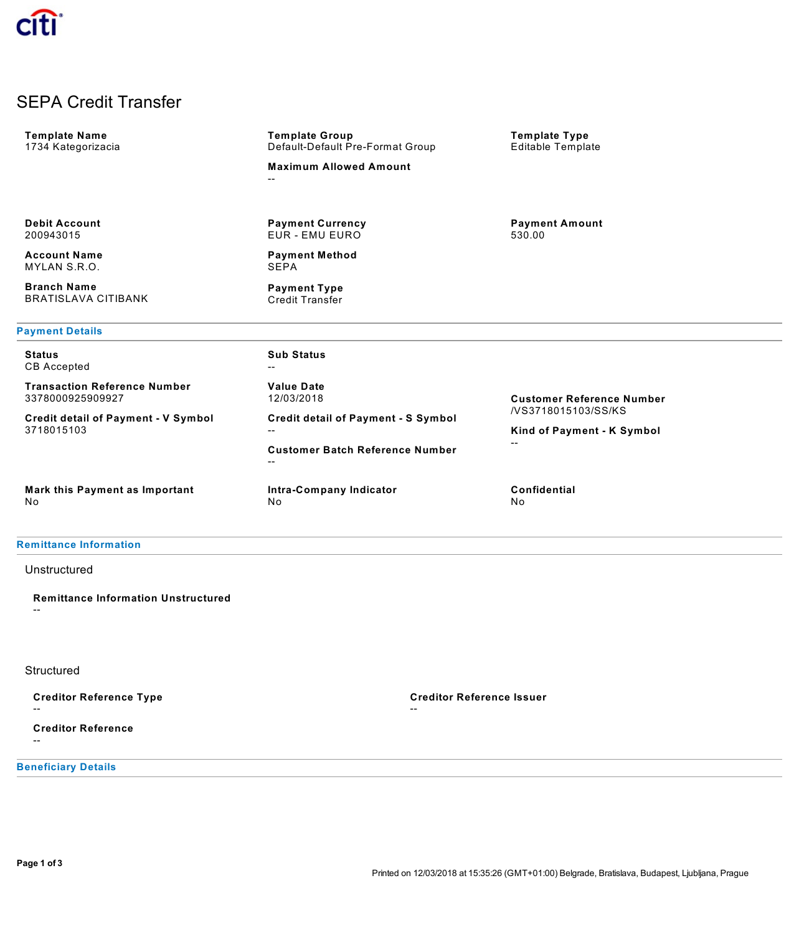# SEPA Credit Transfer

| <b>Template Name</b><br>1734 Kategorizacia               | <b>Template Group</b><br>Default-Default Pre-Format Group                    | <b>Template Type</b><br>Editable Template         |
|----------------------------------------------------------|------------------------------------------------------------------------------|---------------------------------------------------|
|                                                          | <b>Maximum Allowed Amount</b><br>--                                          |                                                   |
|                                                          |                                                                              |                                                   |
| <b>Debit Account</b><br>200943015                        | <b>Payment Currency</b><br><b>Payment Amount</b><br>EUR - EMU EURO<br>530.00 |                                                   |
| <b>Account Name</b><br>MYLAN S.R.O.                      | <b>Payment Method</b><br>SEPA                                                |                                                   |
| <b>Branch Name</b><br><b>BRATISLAVA CITIBANK</b>         | <b>Payment Type</b><br><b>Credit Transfer</b>                                |                                                   |
| <b>Payment Details</b>                                   |                                                                              |                                                   |
| <b>Status</b><br><b>CB</b> Accepted                      | <b>Sub Status</b><br>--                                                      |                                                   |
| <b>Transaction Reference Number</b><br>3378000925909927  | <b>Value Date</b><br>12/03/2018                                              | <b>Customer Reference Number</b>                  |
| <b>Credit detail of Payment - V Symbol</b><br>3718015103 | <b>Credit detail of Payment - S Symbol</b><br>$- -$                          | /VS3718015103/SS/KS<br>Kind of Payment - K Symbol |
|                                                          | <b>Customer Batch Reference Number</b><br>$- -$                              | $-$                                               |
| Mark this Payment as Important<br>No                     | Intra-Company Indicator<br>No.                                               | Confidential<br>No                                |
|                                                          |                                                                              |                                                   |

## **Remittance Information**

## Unstructured

**Remittance Information Unstructured** --

### **Structured**

**Creditor Reference Type**

--

**Creditor Reference** --

**Beneficiary Details**

**Creditor Reference Issuer**

--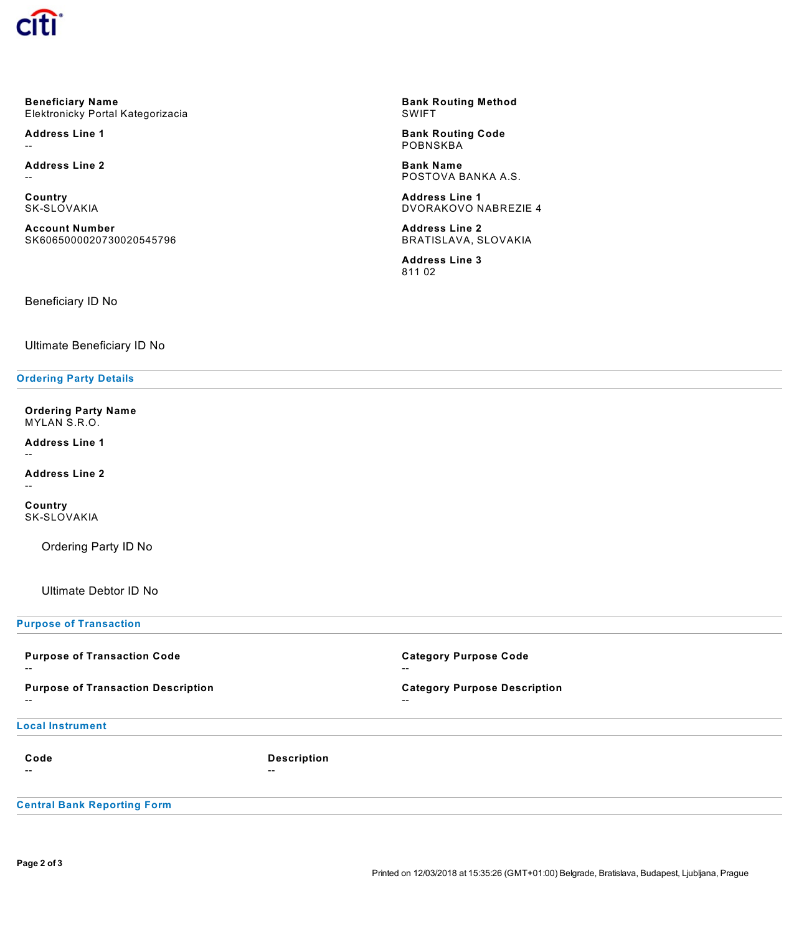

**Beneficiary Name** Elektronicky Portal Kategorizacia

**Address Line 1** --

**Address Line 2** --

**Country** SK-SLOVAKIA

**Account Number** SK6065000020730020545796

**Bank Routing Method** SWIFT

**Bank Routing Code POBNSKBA** 

**Bank Name** POSTOVA BANKA A.S.

**Address Line 1** DVORAKOVO NABREZIE 4

**Address Line 2** BRATISLAVA, SLOVAKIA

**Address Line 3** 811 02

Beneficiary ID No

Ultimate Beneficiary ID No

#### **Ordering Party Details**

**Ordering Party Name** MYLAN S.R.O.

**Address Line 1**

--

**Address Line 2** --

**Country** SK-SLOVAKIA

Ordering Party ID No

Ultimate Debtor ID No

**Purpose of Transaction**

| <b>Purpose of Transaction Code</b><br>$- -$        |                    | <b>Category Purpose Code</b><br>$- -$        |
|----------------------------------------------------|--------------------|----------------------------------------------|
| <b>Purpose of Transaction Description</b><br>$- -$ |                    | <b>Category Purpose Description</b><br>$- -$ |
| <b>Local Instrument</b>                            |                    |                                              |
| Code                                               | <b>Description</b> |                                              |
| --                                                 | $- -$              |                                              |
| <b>Central Bank Reporting Form</b>                 |                    |                                              |